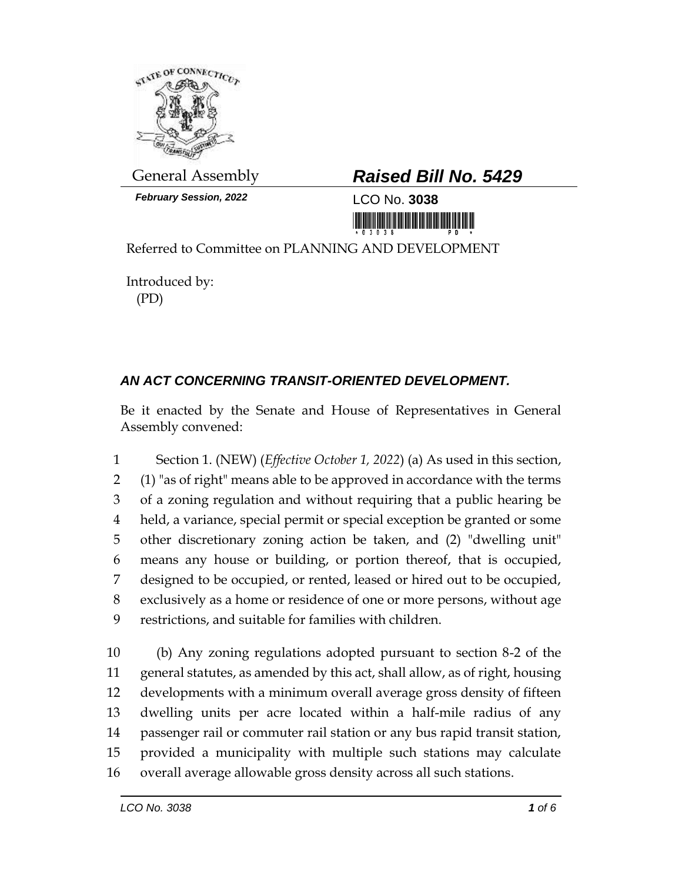

*February Session, 2022* LCO No. **3038**

## General Assembly *Raised Bill No. 5429*

<u> III MARIJI MARIJI MARIJI MARIJI MARIJI MARIJI MARIJI MARIJI MARIJI MARIJI MARIJI MARIJI MARIJI MARIJI MARIJI </u>

Referred to Committee on PLANNING AND DEVELOPMENT

Introduced by: (PD)

## *AN ACT CONCERNING TRANSIT-ORIENTED DEVELOPMENT.*

Be it enacted by the Senate and House of Representatives in General Assembly convened:

 Section 1. (NEW) (*Effective October 1, 2022*) (a) As used in this section, (1) "as of right" means able to be approved in accordance with the terms of a zoning regulation and without requiring that a public hearing be held, a variance, special permit or special exception be granted or some other discretionary zoning action be taken, and (2) "dwelling unit" means any house or building, or portion thereof, that is occupied, designed to be occupied, or rented, leased or hired out to be occupied, exclusively as a home or residence of one or more persons, without age restrictions, and suitable for families with children.

 (b) Any zoning regulations adopted pursuant to section 8-2 of the general statutes, as amended by this act, shall allow, as of right, housing developments with a minimum overall average gross density of fifteen dwelling units per acre located within a half-mile radius of any passenger rail or commuter rail station or any bus rapid transit station, provided a municipality with multiple such stations may calculate overall average allowable gross density across all such stations.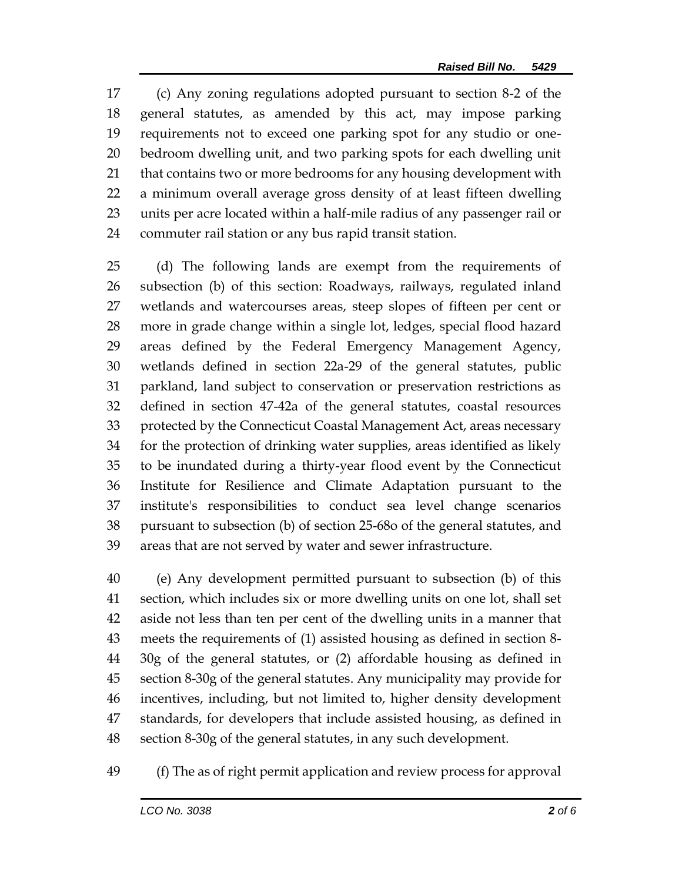(c) Any zoning regulations adopted pursuant to section 8-2 of the general statutes, as amended by this act, may impose parking requirements not to exceed one parking spot for any studio or one- bedroom dwelling unit, and two parking spots for each dwelling unit that contains two or more bedrooms for any housing development with a minimum overall average gross density of at least fifteen dwelling units per acre located within a half-mile radius of any passenger rail or commuter rail station or any bus rapid transit station.

 (d) The following lands are exempt from the requirements of subsection (b) of this section: Roadways, railways, regulated inland wetlands and watercourses areas, steep slopes of fifteen per cent or more in grade change within a single lot, ledges, special flood hazard areas defined by the Federal Emergency Management Agency, wetlands defined in section 22a-29 of the general statutes, public parkland, land subject to conservation or preservation restrictions as defined in section 47-42a of the general statutes, coastal resources protected by the Connecticut Coastal Management Act, areas necessary for the protection of drinking water supplies, areas identified as likely to be inundated during a thirty-year flood event by the Connecticut Institute for Resilience and Climate Adaptation pursuant to the institute's responsibilities to conduct sea level change scenarios pursuant to subsection (b) of section 25-68o of the general statutes, and areas that are not served by water and sewer infrastructure.

 (e) Any development permitted pursuant to subsection (b) of this section, which includes six or more dwelling units on one lot, shall set aside not less than ten per cent of the dwelling units in a manner that meets the requirements of (1) assisted housing as defined in section 8- 30g of the general statutes, or (2) affordable housing as defined in section 8-30g of the general statutes. Any municipality may provide for incentives, including, but not limited to, higher density development standards, for developers that include assisted housing, as defined in section 8-30g of the general statutes, in any such development.

(f) The as of right permit application and review process for approval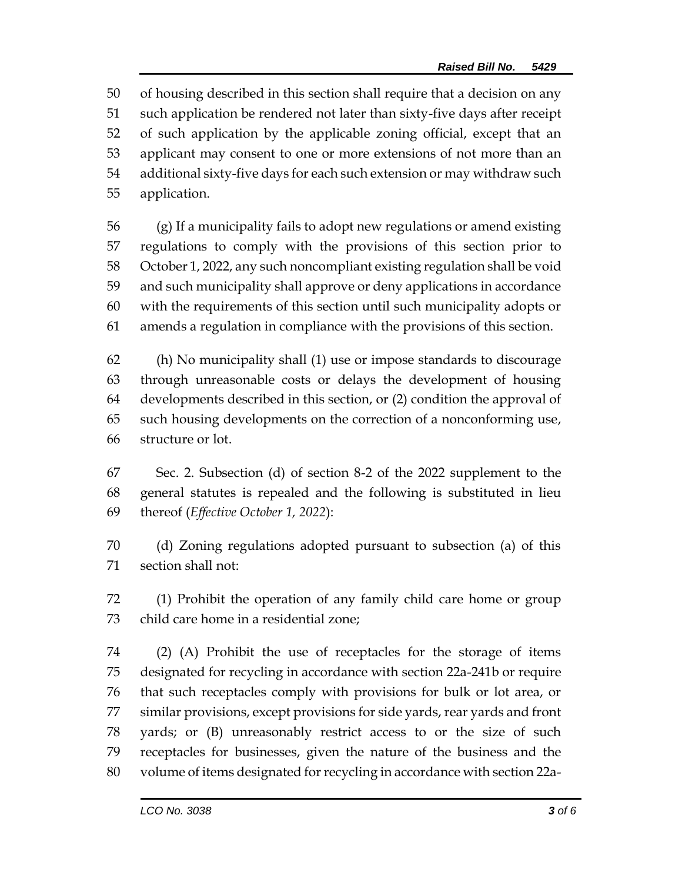of housing described in this section shall require that a decision on any such application be rendered not later than sixty-five days after receipt of such application by the applicable zoning official, except that an applicant may consent to one or more extensions of not more than an additional sixty-five days for each such extension or may withdraw such application.

 (g) If a municipality fails to adopt new regulations or amend existing regulations to comply with the provisions of this section prior to October 1, 2022, any such noncompliant existing regulation shall be void and such municipality shall approve or deny applications in accordance with the requirements of this section until such municipality adopts or amends a regulation in compliance with the provisions of this section.

 (h) No municipality shall (1) use or impose standards to discourage through unreasonable costs or delays the development of housing developments described in this section, or (2) condition the approval of such housing developments on the correction of a nonconforming use, structure or lot.

 Sec. 2. Subsection (d) of section 8-2 of the 2022 supplement to the general statutes is repealed and the following is substituted in lieu thereof (*Effective October 1, 2022*):

 (d) Zoning regulations adopted pursuant to subsection (a) of this section shall not:

 (1) Prohibit the operation of any family child care home or group child care home in a residential zone;

 (2) (A) Prohibit the use of receptacles for the storage of items designated for recycling in accordance with section 22a-241b or require that such receptacles comply with provisions for bulk or lot area, or similar provisions, except provisions for side yards, rear yards and front yards; or (B) unreasonably restrict access to or the size of such receptacles for businesses, given the nature of the business and the volume of items designated for recycling in accordance with section 22a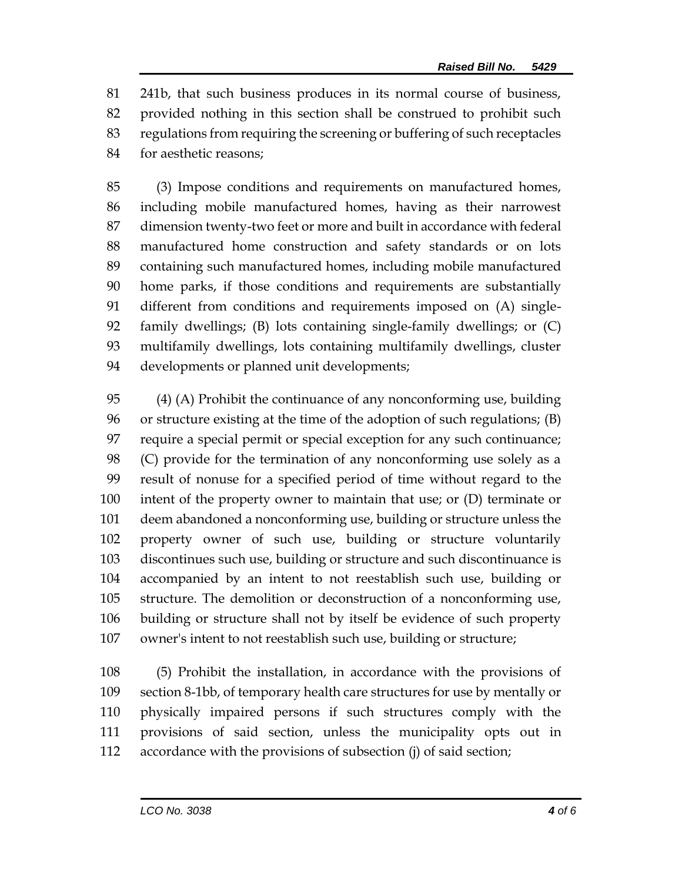241b, that such business produces in its normal course of business, provided nothing in this section shall be construed to prohibit such regulations from requiring the screening or buffering of such receptacles for aesthetic reasons;

 (3) Impose conditions and requirements on manufactured homes, including mobile manufactured homes, having as their narrowest dimension twenty-two feet or more and built in accordance with federal manufactured home construction and safety standards or on lots containing such manufactured homes, including mobile manufactured home parks, if those conditions and requirements are substantially different from conditions and requirements imposed on (A) single- family dwellings; (B) lots containing single-family dwellings; or (C) multifamily dwellings, lots containing multifamily dwellings, cluster developments or planned unit developments;

 (4) (A) Prohibit the continuance of any nonconforming use, building or structure existing at the time of the adoption of such regulations; (B) require a special permit or special exception for any such continuance; (C) provide for the termination of any nonconforming use solely as a result of nonuse for a specified period of time without regard to the intent of the property owner to maintain that use; or (D) terminate or deem abandoned a nonconforming use, building or structure unless the property owner of such use, building or structure voluntarily discontinues such use, building or structure and such discontinuance is accompanied by an intent to not reestablish such use, building or structure. The demolition or deconstruction of a nonconforming use, building or structure shall not by itself be evidence of such property owner's intent to not reestablish such use, building or structure;

 (5) Prohibit the installation, in accordance with the provisions of section 8-1bb, of temporary health care structures for use by mentally or physically impaired persons if such structures comply with the provisions of said section, unless the municipality opts out in accordance with the provisions of subsection (j) of said section;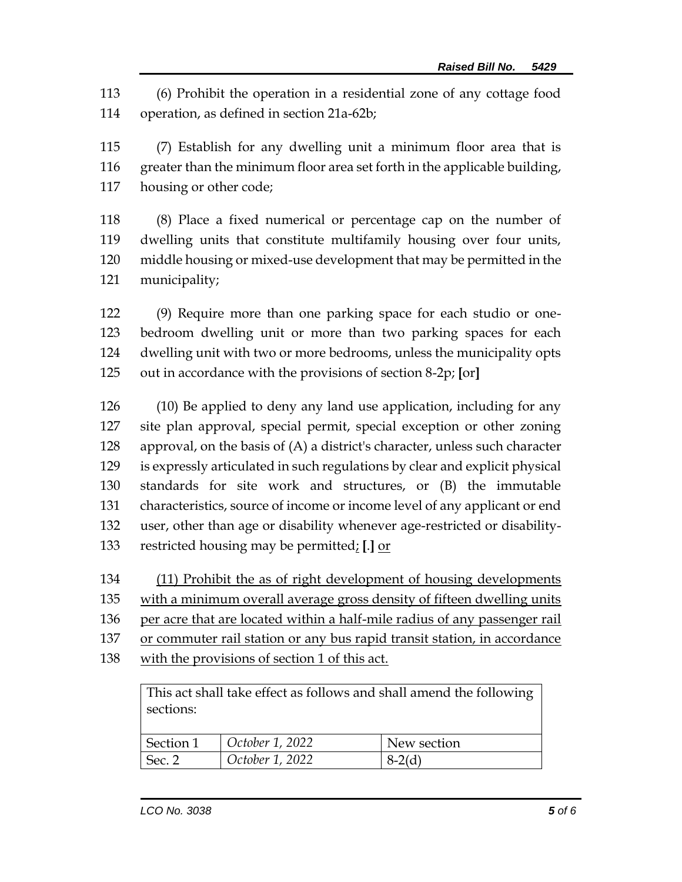(6) Prohibit the operation in a residential zone of any cottage food operation, as defined in section 21a-62b;

 (7) Establish for any dwelling unit a minimum floor area that is greater than the minimum floor area set forth in the applicable building, housing or other code;

 (8) Place a fixed numerical or percentage cap on the number of dwelling units that constitute multifamily housing over four units, middle housing or mixed-use development that may be permitted in the municipality;

 (9) Require more than one parking space for each studio or one- bedroom dwelling unit or more than two parking spaces for each dwelling unit with two or more bedrooms, unless the municipality opts out in accordance with the provisions of section 8-2p; **[**or**]**

 (10) Be applied to deny any land use application, including for any site plan approval, special permit, special exception or other zoning approval, on the basis of (A) a district's character, unless such character is expressly articulated in such regulations by clear and explicit physical standards for site work and structures, or (B) the immutable characteristics, source of income or income level of any applicant or end user, other than age or disability whenever age-restricted or disability-restricted housing may be permitted; **[**.**]** or

(11) Prohibit the as of right development of housing developments

with a minimum overall average gross density of fifteen dwelling units

per acre that are located within a half-mile radius of any passenger rail

or commuter rail station or any bus rapid transit station, in accordance

with the provisions of section 1 of this act.

This act shall take effect as follows and shall amend the following sections: Section 1 *October 1, 2022* New section Sec. 2 *October 1, 2022* 8-2(d)